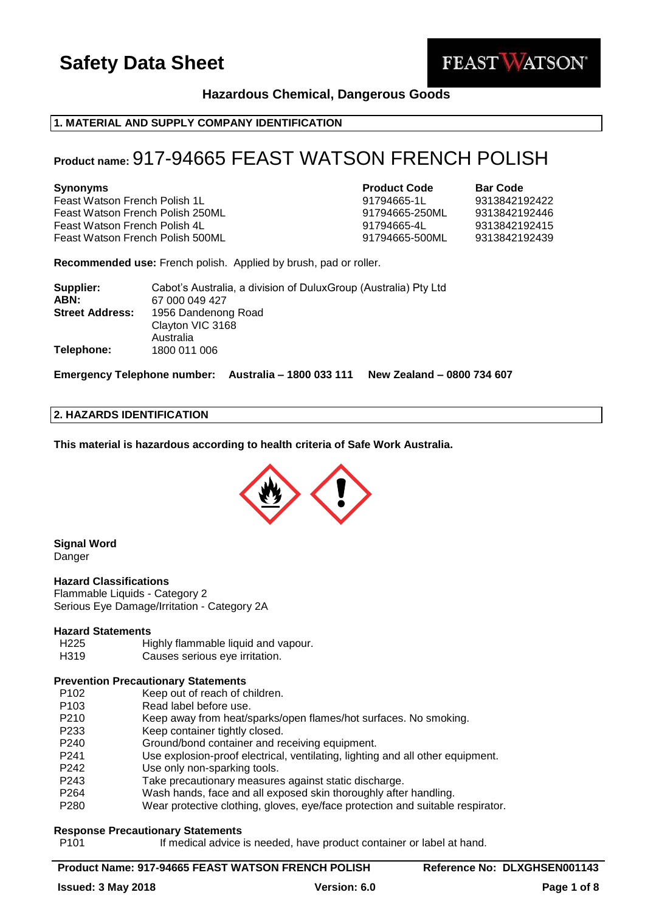

# **Hazardous Chemical, Dangerous Goods**

# **1. MATERIAL AND SUPPLY COMPANY IDENTIFICATION**

# **Product name:** 917-94665 FEAST WATSON FRENCH POLISH

Feast Watson French Polish 1L 91794665-1L 9313842192422 Feast Watson French Polish 250ML 91794665-250ML 9313842192446 Feast Watson French Polish 4L 91794665-4L 9313842192415 Feast Watson French Polish 500ML 91794665-500ML 9313842192439

**Synonyms Product Code Bar Code**

**Recommended use:** French polish. Applied by brush, pad or roller.

| Supplier:<br>ABN:      | Cabot's Australia, a division of DuluxGroup (Australia) Pty Ltd<br>67 000 049 427 |
|------------------------|-----------------------------------------------------------------------------------|
| <b>Street Address:</b> | 1956 Dandenong Road<br>Clayton VIC 3168                                           |
| Telephone:             | Australia<br>1800 011 006                                                         |

**Emergency Telephone number: Australia – 1800 033 111 New Zealand – 0800 734 607**

### **2. HAZARDS IDENTIFICATION**

**This material is hazardous according to health criteria of Safe Work Australia.**



### **Signal Word** Danger

#### **Hazard Classifications**

Flammable Liquids - Category 2 Serious Eye Damage/Irritation - Category 2A

### **Hazard Statements**

- H225 Highly flammable liquid and vapour.
- H319 Causes serious eye irritation.

# **Prevention Precautionary Statements**

- P102 Keep out of reach of children.
- P103 Read label before use.
- P210 Keep away from heat/sparks/open flames/hot surfaces. No smoking.
- P233 Keep container tightly closed.
- P240 Ground/bond container and receiving equipment.
- P241 Use explosion-proof electrical, ventilating, lighting and all other equipment.
- P242 Use only non-sparking tools.
- P243 Take precautionary measures against static discharge.
- P264 Wash hands, face and all exposed skin thoroughly after handling.
- P280 Wear protective clothing, gloves, eye/face protection and suitable respirator.

### **Response Precautionary Statements**

P101 If medical advice is needed, have product container or label at hand.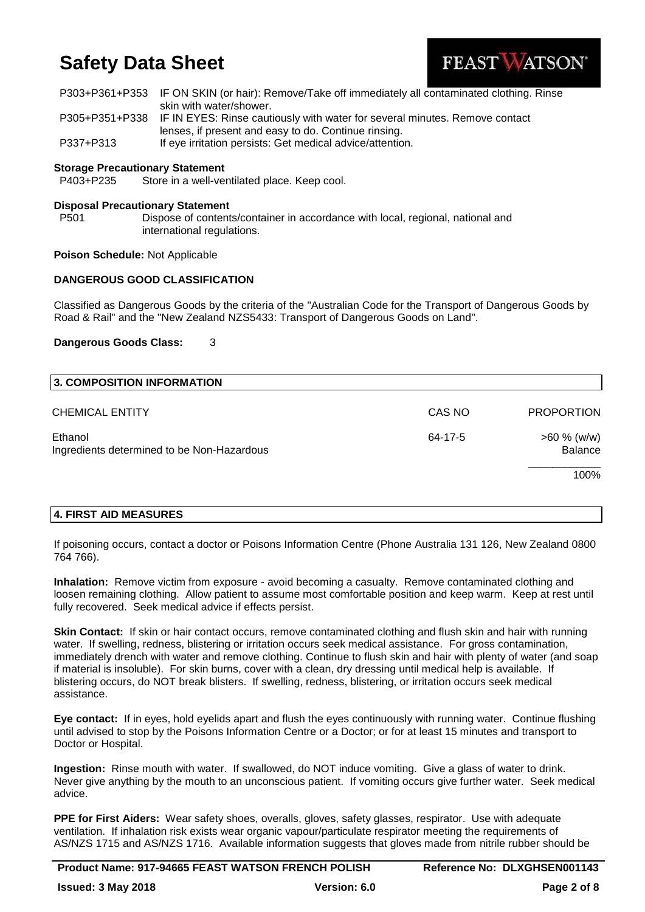

|           | P303+P361+P353 IF ON SKIN (or hair): Remove/Take off immediately all contaminated clothing. Rinse |
|-----------|---------------------------------------------------------------------------------------------------|
|           | skin with water/shower.                                                                           |
|           | P305+P351+P338 IF IN EYES: Rinse cautiously with water for several minutes. Remove contact        |
|           | lenses, if present and easy to do. Continue rinsing.                                              |
| P337+P313 | If eye irritation persists: Get medical advice/attention.                                         |

### **Storage Precautionary Statement**

P403+P235 Store in a well-ventilated place. Keep cool.

### **Disposal Precautionary Statement**

P501 Dispose of contents/container in accordance with local, regional, national and international regulations.

### **Poison Schedule:** Not Applicable

# **DANGEROUS GOOD CLASSIFICATION**

Classified as Dangerous Goods by the criteria of the "Australian Code for the Transport of Dangerous Goods by Road & Rail" and the "New Zealand NZS5433: Transport of Dangerous Goods on Land".

#### **Dangerous Goods Class:** 3

| 3. COMPOSITION INFORMATION                            |         |                           |
|-------------------------------------------------------|---------|---------------------------|
| <b>CHEMICAL ENTITY</b>                                | CAS NO  | <b>PROPORTION</b>         |
| Ethanol<br>Ingredients determined to be Non-Hazardous | 64-17-5 | $>60 \%$ (w/w)<br>Balance |
|                                                       |         | 100%                      |

### **4. FIRST AID MEASURES**

If poisoning occurs, contact a doctor or Poisons Information Centre (Phone Australia 131 126, New Zealand 0800 764 766).

**Inhalation:** Remove victim from exposure - avoid becoming a casualty. Remove contaminated clothing and loosen remaining clothing. Allow patient to assume most comfortable position and keep warm. Keep at rest until fully recovered. Seek medical advice if effects persist.

**Skin Contact:** If skin or hair contact occurs, remove contaminated clothing and flush skin and hair with running water. If swelling, redness, blistering or irritation occurs seek medical assistance. For gross contamination, immediately drench with water and remove clothing. Continue to flush skin and hair with plenty of water (and soap if material is insoluble). For skin burns, cover with a clean, dry dressing until medical help is available. If blistering occurs, do NOT break blisters. If swelling, redness, blistering, or irritation occurs seek medical assistance.

**Eye contact:** If in eyes, hold eyelids apart and flush the eyes continuously with running water. Continue flushing until advised to stop by the Poisons Information Centre or a Doctor; or for at least 15 minutes and transport to Doctor or Hospital.

**Ingestion:** Rinse mouth with water. If swallowed, do NOT induce vomiting. Give a glass of water to drink. Never give anything by the mouth to an unconscious patient. If vomiting occurs give further water. Seek medical advice.

**PPE for First Aiders:** Wear safety shoes, overalls, gloves, safety glasses, respirator. Use with adequate ventilation. If inhalation risk exists wear organic vapour/particulate respirator meeting the requirements of AS/NZS 1715 and AS/NZS 1716. Available information suggests that gloves made from nitrile rubber should be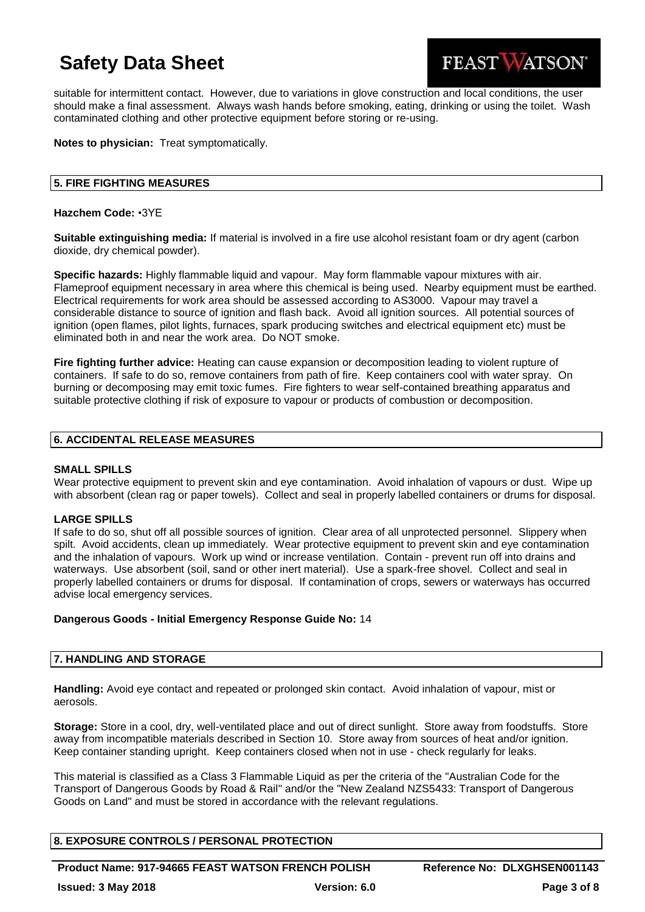

suitable for intermittent contact. However, due to variations in glove construction and local conditions, the user should make a final assessment. Always wash hands before smoking, eating, drinking or using the toilet. Wash contaminated clothing and other protective equipment before storing or re-using.

# **Notes to physician:** Treat symptomatically.

# **5. FIRE FIGHTING MEASURES**

### **Hazchem Code:** •3YE

**Suitable extinguishing media:** If material is involved in a fire use alcohol resistant foam or dry agent (carbon dioxide, dry chemical powder).

**Specific hazards:** Highly flammable liquid and vapour. May form flammable vapour mixtures with air. Flameproof equipment necessary in area where this chemical is being used. Nearby equipment must be earthed. Electrical requirements for work area should be assessed according to AS3000. Vapour may travel a considerable distance to source of ignition and flash back. Avoid all ignition sources. All potential sources of ignition (open flames, pilot lights, furnaces, spark producing switches and electrical equipment etc) must be eliminated both in and near the work area. Do NOT smoke.

**Fire fighting further advice:** Heating can cause expansion or decomposition leading to violent rupture of containers. If safe to do so, remove containers from path of fire. Keep containers cool with water spray. On burning or decomposing may emit toxic fumes. Fire fighters to wear self-contained breathing apparatus and suitable protective clothing if risk of exposure to vapour or products of combustion or decomposition.

# **6. ACCIDENTAL RELEASE MEASURES**

### **SMALL SPILLS**

Wear protective equipment to prevent skin and eye contamination. Avoid inhalation of vapours or dust. Wipe up with absorbent (clean rag or paper towels). Collect and seal in properly labelled containers or drums for disposal.

### **LARGE SPILLS**

If safe to do so, shut off all possible sources of ignition. Clear area of all unprotected personnel. Slippery when spilt. Avoid accidents, clean up immediately. Wear protective equipment to prevent skin and eye contamination and the inhalation of vapours. Work up wind or increase ventilation. Contain - prevent run off into drains and waterways. Use absorbent (soil, sand or other inert material). Use a spark-free shovel. Collect and seal in properly labelled containers or drums for disposal. If contamination of crops, sewers or waterways has occurred advise local emergency services.

### **Dangerous Goods - Initial Emergency Response Guide No:** 14

# **7. HANDLING AND STORAGE**

**Handling:** Avoid eye contact and repeated or prolonged skin contact. Avoid inhalation of vapour, mist or aerosols.

**Storage:** Store in a cool, dry, well-ventilated place and out of direct sunlight. Store away from foodstuffs. Store away from incompatible materials described in Section 10. Store away from sources of heat and/or ignition. Keep container standing upright. Keep containers closed when not in use - check regularly for leaks.

This material is classified as a Class 3 Flammable Liquid as per the criteria of the "Australian Code for the Transport of Dangerous Goods by Road & Rail" and/or the "New Zealand NZS5433: Transport of Dangerous Goods on Land" and must be stored in accordance with the relevant regulations.

# **8. EXPOSURE CONTROLS / PERSONAL PROTECTION**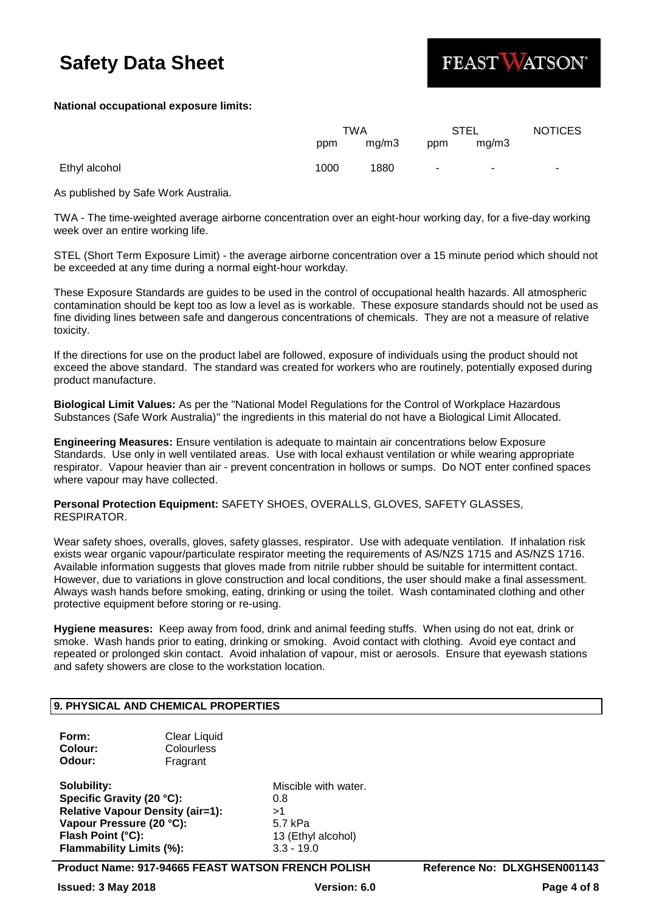

# **National occupational exposure limits:**

|               | TWA  |       | STEL                     |       | <b>NOTICES</b> |
|---------------|------|-------|--------------------------|-------|----------------|
|               | ppm  | mq/m3 | ppm                      | mq/m3 |                |
| Ethyl alcohol | 1000 | 1880  | $\overline{\phantom{a}}$ |       | $\sim$         |

As published by Safe Work Australia.

TWA - The time-weighted average airborne concentration over an eight-hour working day, for a five-day working week over an entire working life.

STEL (Short Term Exposure Limit) - the average airborne concentration over a 15 minute period which should not be exceeded at any time during a normal eight-hour workday.

These Exposure Standards are guides to be used in the control of occupational health hazards. All atmospheric contamination should be kept too as low a level as is workable. These exposure standards should not be used as fine dividing lines between safe and dangerous concentrations of chemicals. They are not a measure of relative toxicity.

If the directions for use on the product label are followed, exposure of individuals using the product should not exceed the above standard. The standard was created for workers who are routinely, potentially exposed during product manufacture.

**Biological Limit Values:** As per the "National Model Regulations for the Control of Workplace Hazardous Substances (Safe Work Australia)" the ingredients in this material do not have a Biological Limit Allocated.

**Engineering Measures:** Ensure ventilation is adequate to maintain air concentrations below Exposure Standards. Use only in well ventilated areas. Use with local exhaust ventilation or while wearing appropriate respirator. Vapour heavier than air - prevent concentration in hollows or sumps. Do NOT enter confined spaces where vapour may have collected.

**Personal Protection Equipment:** SAFETY SHOES, OVERALLS, GLOVES, SAFETY GLASSES, RESPIRATOR.

Wear safety shoes, overalls, gloves, safety glasses, respirator. Use with adequate ventilation. If inhalation risk exists wear organic vapour/particulate respirator meeting the requirements of AS/NZS 1715 and AS/NZS 1716. Available information suggests that gloves made from nitrile rubber should be suitable for intermittent contact. However, due to variations in glove construction and local conditions, the user should make a final assessment. Always wash hands before smoking, eating, drinking or using the toilet. Wash contaminated clothing and other protective equipment before storing or re-using.

**Hygiene measures:** Keep away from food, drink and animal feeding stuffs. When using do not eat, drink or smoke. Wash hands prior to eating, drinking or smoking. Avoid contact with clothing. Avoid eye contact and repeated or prolonged skin contact. Avoid inhalation of vapour, mist or aerosols. Ensure that eyewash stations and safety showers are close to the workstation location.

# **9. PHYSICAL AND CHEMICAL PROPERTIES**

| Form:   | <b>Clear Liquid</b> |
|---------|---------------------|
| Colour: | Colourless          |
| Odour:  | Fragrant            |

**Solubility:** Miscible with water. **Specific Gravity (20 °C):** 0.8 **Relative Vapour Density (air=1):** >1 Vapour Pressure (20 °C): 5.7 kPa **Flash Point (°C):** 13 (Ethyl alcohol) **Flammability Limits (%):** 3.3 - 19.0

**Product Name: 917-94665 FEAST WATSON FRENCH POLISH Reference No: DLXGHSEN001143**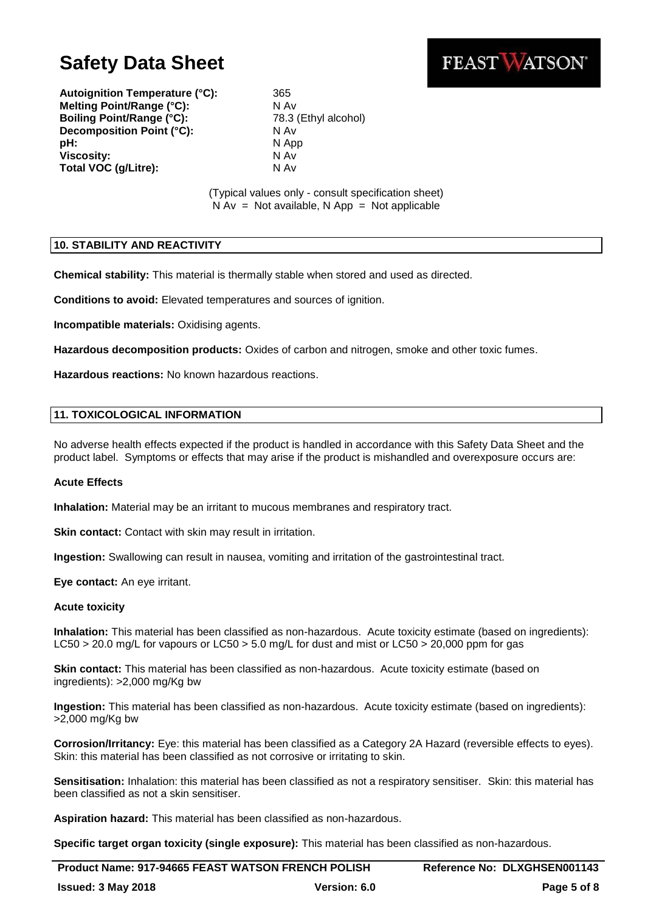FEAST WATSON®

**Autoignition Temperature (°C):** 365 **Melting Point/Range (°C):** N Av **Boiling Point/Range (°C):** 78.3 (Ethyl alcohol) **Decomposition Point (°C):** N Av **pH:** N App **Viscosity:** N Av **Total VOC (g/Litre):** N Av

(Typical values only - consult specification sheet)  $N Av = Not available, N App = Not applicable$ 

# **10. STABILITY AND REACTIVITY**

**Chemical stability:** This material is thermally stable when stored and used as directed.

**Conditions to avoid:** Elevated temperatures and sources of ignition.

**Incompatible materials:** Oxidising agents.

**Hazardous decomposition products:** Oxides of carbon and nitrogen, smoke and other toxic fumes.

**Hazardous reactions:** No known hazardous reactions.

# **11. TOXICOLOGICAL INFORMATION**

No adverse health effects expected if the product is handled in accordance with this Safety Data Sheet and the product label. Symptoms or effects that may arise if the product is mishandled and overexposure occurs are:

### **Acute Effects**

**Inhalation:** Material may be an irritant to mucous membranes and respiratory tract.

**Skin contact:** Contact with skin may result in irritation.

**Ingestion:** Swallowing can result in nausea, vomiting and irritation of the gastrointestinal tract.

**Eye contact:** An eye irritant.

### **Acute toxicity**

**Inhalation:** This material has been classified as non-hazardous. Acute toxicity estimate (based on ingredients): LC50 > 20.0 mg/L for vapours or LC50 > 5.0 mg/L for dust and mist or LC50 > 20,000 ppm for gas

**Skin contact:** This material has been classified as non-hazardous. Acute toxicity estimate (based on ingredients): >2,000 mg/Kg bw

**Ingestion:** This material has been classified as non-hazardous. Acute toxicity estimate (based on ingredients): >2,000 mg/Kg bw

**Corrosion/Irritancy:** Eye: this material has been classified as a Category 2A Hazard (reversible effects to eyes). Skin: this material has been classified as not corrosive or irritating to skin.

**Sensitisation:** Inhalation: this material has been classified as not a respiratory sensitiser. Skin: this material has been classified as not a skin sensitiser.

**Aspiration hazard:** This material has been classified as non-hazardous.

**Specific target organ toxicity (single exposure):** This material has been classified as non-hazardous.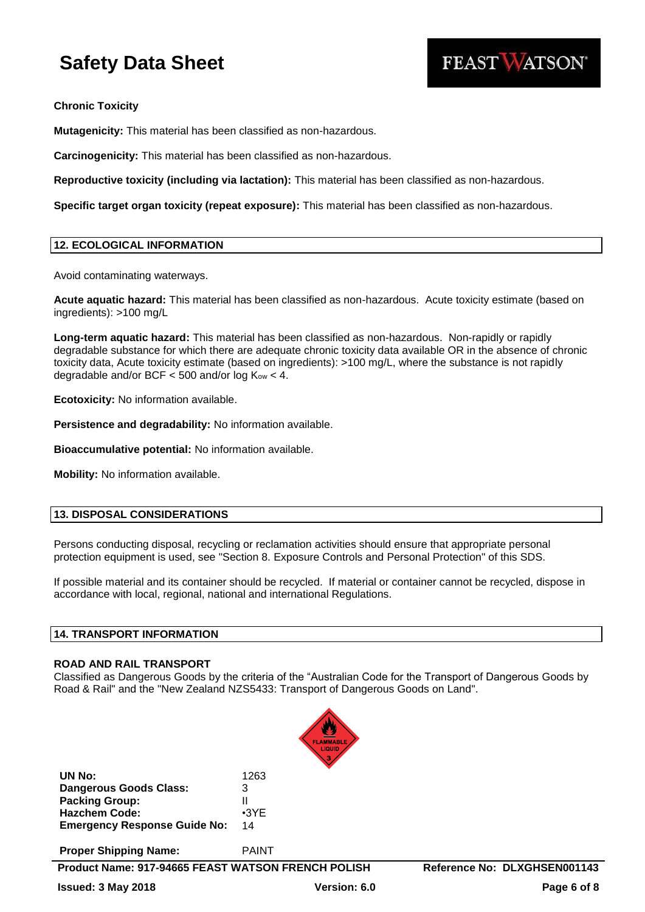

**Chronic Toxicity**

**Mutagenicity:** This material has been classified as non-hazardous.

**Carcinogenicity:** This material has been classified as non-hazardous.

**Reproductive toxicity (including via lactation):** This material has been classified as non-hazardous.

**Specific target organ toxicity (repeat exposure):** This material has been classified as non-hazardous.

# **12. ECOLOGICAL INFORMATION**

Avoid contaminating waterways.

**Acute aquatic hazard:** This material has been classified as non-hazardous. Acute toxicity estimate (based on ingredients): >100 mg/L

**Long-term aquatic hazard:** This material has been classified as non-hazardous. Non-rapidly or rapidly degradable substance for which there are adequate chronic toxicity data available OR in the absence of chronic toxicity data, Acute toxicity estimate (based on ingredients): >100 mg/L, where the substance is not rapidly degradable and/or BCF  $<$  500 and/or log Kow  $<$  4.

**Ecotoxicity:** No information available.

**Persistence and degradability:** No information available.

**Bioaccumulative potential:** No information available.

**Mobility:** No information available.

# **13. DISPOSAL CONSIDERATIONS**

Persons conducting disposal, recycling or reclamation activities should ensure that appropriate personal protection equipment is used, see "Section 8. Exposure Controls and Personal Protection" of this SDS.

If possible material and its container should be recycled. If material or container cannot be recycled, dispose in accordance with local, regional, national and international Regulations.

# **14. TRANSPORT INFORMATION**

### **ROAD AND RAIL TRANSPORT**

Classified as Dangerous Goods by the criteria of the "Australian Code for the Transport of Dangerous Goods by Road & Rail" and the "New Zealand NZS5433: Transport of Dangerous Goods on Land".



| UN No:                              | 1263        |
|-------------------------------------|-------------|
| <b>Dangerous Goods Class:</b>       | 3           |
| <b>Packing Group:</b>               | н           |
| <b>Hazchem Code:</b>                | $\cdot$ 3YF |
| <b>Emergency Response Guide No:</b> | 14          |

**Proper Shipping Name:** PAINT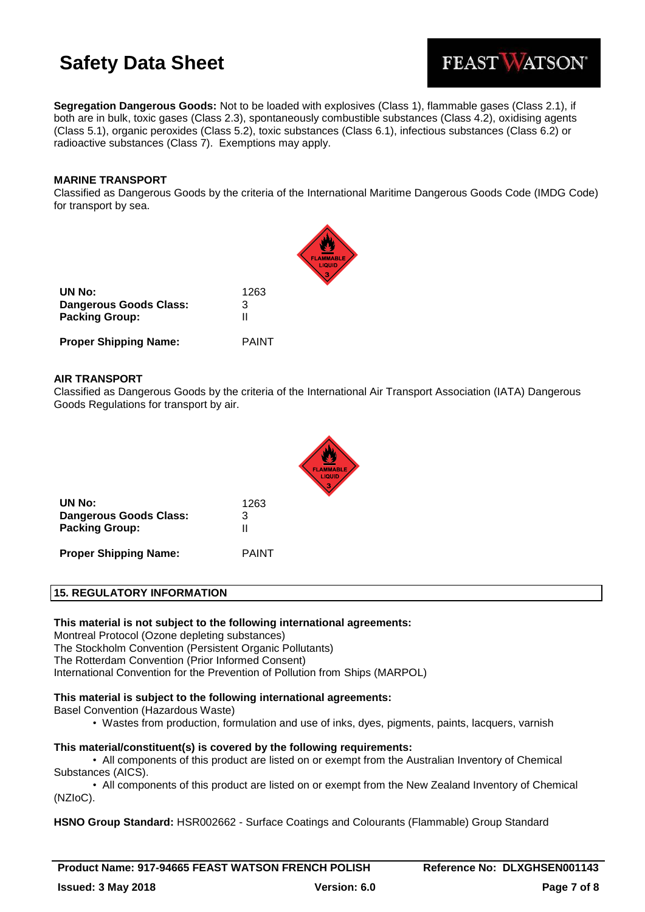FEAST WATSON®

**Segregation Dangerous Goods:** Not to be loaded with explosives (Class 1), flammable gases (Class 2.1), if both are in bulk, toxic gases (Class 2.3), spontaneously combustible substances (Class 4.2), oxidising agents (Class 5.1), organic peroxides (Class 5.2), toxic substances (Class 6.1), infectious substances (Class 6.2) or radioactive substances (Class 7). Exemptions may apply.

# **MARINE TRANSPORT**

Classified as Dangerous Goods by the criteria of the International Maritime Dangerous Goods Code (IMDG Code) for transport by sea.

| UN No:<br>Dangerous Goods Class:<br><b>Packing Group:</b> | 1263<br>З<br>Ш |
|-----------------------------------------------------------|----------------|
| <b>Proper Shipping Name:</b>                              | PAINT          |

# **AIR TRANSPORT**

Classified as Dangerous Goods by the criteria of the International Air Transport Association (IATA) Dangerous Goods Regulations for transport by air.



| UN No:                 | 1263 |
|------------------------|------|
| Dangerous Goods Class: | 3    |
| <b>Packing Group:</b>  | Ш    |
|                        |      |

**Proper Shipping Name:** PAINT

# **15. REGULATORY INFORMATION**

### **This material is not subject to the following international agreements:**

Montreal Protocol (Ozone depleting substances) The Stockholm Convention (Persistent Organic Pollutants) The Rotterdam Convention (Prior Informed Consent) International Convention for the Prevention of Pollution from Ships (MARPOL)

# **This material is subject to the following international agreements:**

Basel Convention (Hazardous Waste)

• Wastes from production, formulation and use of inks, dyes, pigments, paints, lacquers, varnish

# **This material/constituent(s) is covered by the following requirements:**

• All components of this product are listed on or exempt from the Australian Inventory of Chemical Substances (AICS).

• All components of this product are listed on or exempt from the New Zealand Inventory of Chemical (NZIoC).

**HSNO Group Standard:** HSR002662 - Surface Coatings and Colourants (Flammable) Group Standard